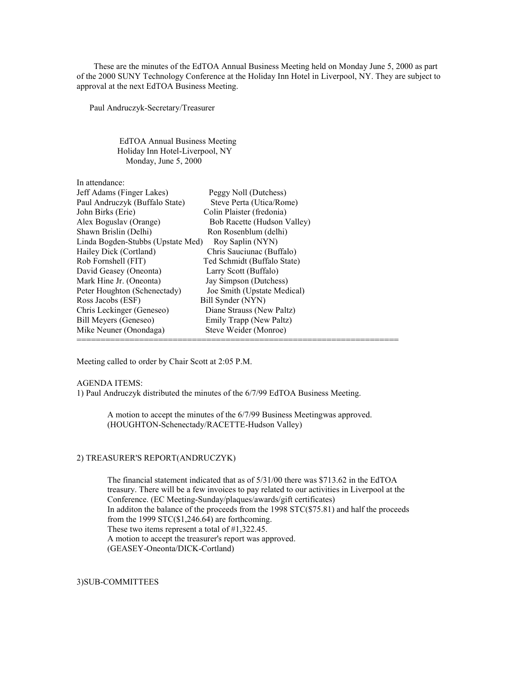These are the minutes of the EdTOA Annual Business Meeting held on Monday June 5, 2000 as part of the 2000 SUNY Technology Conference at the Holiday Inn Hotel in Liverpool, NY. They are subject to approval at the next EdTOA Business Meeting.

Paul Andruczyk-Secretary/Treasurer

 EdTOA Annual Business Meeting Holiday Inn Hotel-Liverpool, NY Monday, June 5, 2000

| In attendance:                    |                             |
|-----------------------------------|-----------------------------|
| Jeff Adams (Finger Lakes)         | Peggy Noll (Dutchess)       |
| Paul Andruczyk (Buffalo State)    | Steve Perta (Utica/Rome)    |
| John Birks (Erie)                 | Colin Plaister (fredonia)   |
| Alex Boguslav (Orange)            | Bob Racette (Hudson Valley) |
| Shawn Brislin (Delhi)             | Ron Rosenblum (delhi)       |
| Linda Bogden-Stubbs (Upstate Med) | Roy Saplin (NYN)            |
| Hailey Dick (Cortland)            | Chris Sauciunac (Buffalo)   |
| Rob Fornshell (FIT)               | Ted Schmidt (Buffalo State) |
| David Geasey (Oneonta)            | Larry Scott (Buffalo)       |
| Mark Hine Jr. (Oneonta)           | Jay Simpson (Dutchess)      |
| Peter Houghton (Schenectady)      | Joe Smith (Upstate Medical) |
| Ross Jacobs (ESF)                 | Bill Synder (NYN)           |
| Chris Leckinger (Geneseo)         | Diane Strauss (New Paltz)   |
| Bill Meyers (Geneseo)             | Emily Trapp (New Paltz)     |
| Mike Neuner (Onondaga)            | Steve Weider (Monroe)       |
|                                   |                             |

Meeting called to order by Chair Scott at 2:05 P.M.

AGENDA ITEMS:

1) Paul Andruczyk distributed the minutes of the 6/7/99 EdTOA Business Meeting.

A motion to accept the minutes of the 6/7/99 Business Meetingwas approved. (HOUGHTON-Schenectady/RACETTE-Hudson Valley)

#### 2) TREASURER'S REPORT(ANDRUCZYK)

The financial statement indicated that as of 5/31/00 there was \$713.62 in the EdTOA treasury. There will be a few invoices to pay related to our activities in Liverpool at the Conference. (EC Meeting-Sunday/plaques/awards/gift certificates) In additon the balance of the proceeds from the 1998 STC(\$75.81) and half the proceeds from the 1999  $STC(\$1,246.64)$  are forthcoming. These two items represent a total of #1,322.45. A motion to accept the treasurer's report was approved. (GEASEY-Oneonta/DICK-Cortland)

3)SUB-COMMITTEES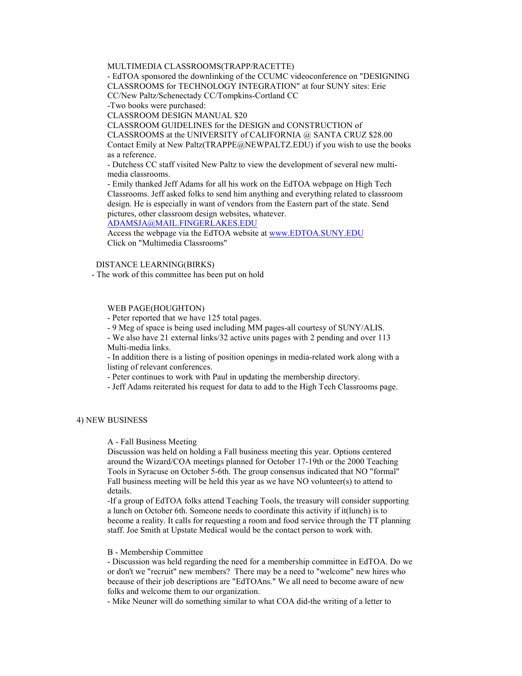# MULTIMEDIA CLASSROOMS(TRAPP/RACETTE)

- EdTOA sponsored the downlinking of the CCUMC videoconference on "DESIGNING CLASSROOMS for TECHNOLOGY INTEGRATION" at four SUNY sites: Erie CC/New Paltz/Schenectady CC/Tompkins-Cortland CC

-Two books were purchased:

CLASSROOM DESIGN MANUAL \$20

CLASSROOM GUIDELINES for the DESIGN and CONSTRUCTION of

CLASSROOMS at the UNIVERSITY of CALIFORNIA @ SANTA CRUZ \$28.00

Contact Emily at New Paltz(TRAPPE@NEWPALTZ.EDU) if you wish to use the books as a reference.

- Dutchess CC staff visited New Paltz to view the development of several new multimedia classrooms.

- Emily thanked Jeff Adams for all his work on the EdTOA webpage on High Tech Classrooms. Jeff asked folks to send him anything and everything related to classroom design. He is especially in want of vendors from the Eastern part of the state. Send pictures, other classroom design websites, whatever.

ADAMSJA@MAIL.FINGERLAKES.EDU

Access the webpage via the EdTOA website at www.EDTOA.SUNY.EDU Click on "Multimedia Classrooms"

# DISTANCE LEARNING(BIRKS)

- The work of this committee has been put on hold

#### WEB PAGE(HOUGHTON)

- Peter reported that we have 125 total pages.

- 9 Meg of space is being used including MM pages-all courtesy of SUNY/ALIS.

- We also have 21 external links/32 active units pages with 2 pending and over 113 Multi-media links.

- In addition there is a listing of position openings in media-related work along with a listing of relevant conferences.

- Peter continues to work with Paul in updating the membership directory.

- Jeff Adams reiterated his request for data to add to the High Tech Classrooms page.

### 4) NEW BUSINESS

A - Fall Business Meeting

Discussion was held on holding a Fall business meeting this year. Options centered around the Wizard/COA meetings planned for October 17-19th or the 2000 Teaching Tools in Syracuse on October 5-6th. The group consensus indicated that NO "formal" Fall business meeting will be held this year as we have NO volunteer(s) to attend to details.

-If a group of EdTOA folks attend Teaching Tools, the treasury will consider supporting a lunch on October 6th. Someone needs to coordinate this activity if it(lunch) is to become a reality. It calls for requesting a room and food service through the TT planning staff. Joe Smith at Upstate Medical would be the contact person to work with.

#### B - Membership Committee

- Discussion was held regarding the need for a membership committee in EdTOA. Do we or don't we "recruit" new members? There may be a need to "welcome" new hires who because of their job descriptions are "EdTOAns." We all need to become aware of new folks and welcome them to our organization.

- Mike Neuner will do something similar to what COA did-the writing of a letter to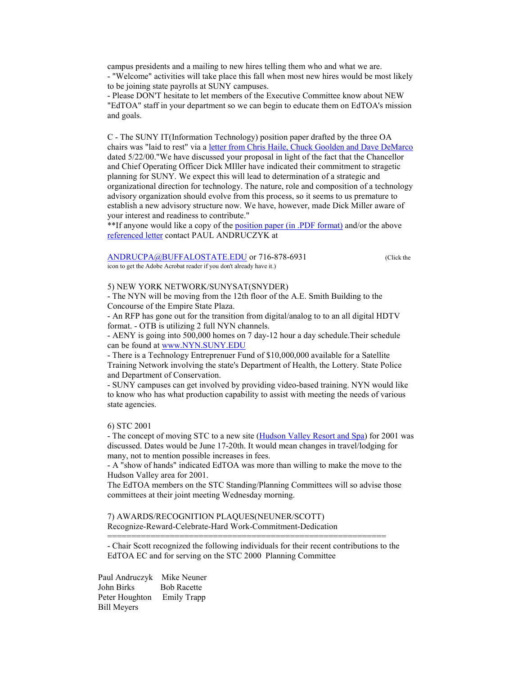campus presidents and a mailing to new hires telling them who and what we are. - "Welcome" activities will take place this fall when most new hires would be most likely to be joining state payrolls at SUNY campuses.

- Please DON'T hesitate to let members of the Executive Committee know about NEW "EdTOA" staff in your department so we can begin to educate them on EdTOA's mission and goals.

C - The SUNY IT(Information Technology) position paper drafted by the three OA chairs was "laid to rest" via a letter from Chris Haile, Chuck Goolden and Dave DeMarco dated 5/22/00."We have discussed your proposal in light of the fact that the Chancellor and Chief Operating Officer Dick MIller have indicated their commitment to stragetic planning for SUNY. We expect this will lead to determination of a strategic and organizational direction for technology. The nature, role and composition of a technology advisory organization should evolve from this process, so it seems to us premature to establish a new advisory structure now. We have, however, made Dick Miller aware of your interest and readiness to contribute."

\*\*If anyone would like a copy of the position paper (in .PDF format) and/or the above referenced letter contact PAUL ANDRUCZYK at

#### ANDRUCPA@BUFFALOSTATE.EDU or 716-878-6931 (Click the icon to get the Adobe Acrobat reader if you don't already have it.)

#### 5) NEW YORK NETWORK/SUNYSAT(SNYDER)

- The NYN will be moving from the 12th floor of the A.E. Smith Building to the Concourse of the Empire State Plaza.

- An RFP has gone out for the transition from digital/analog to to an all digital HDTV format. - OTB is utilizing 2 full NYN channels.

- AENY is going into 500,000 homes on 7 day-12 hour a day schedule.Their schedule can be found at www.NYN.SUNY.EDU

- There is a Technology Entreprenuer Fund of \$10,000,000 available for a Satellite Training Network involving the state's Department of Health, the Lottery. State Police and Department of Conservation.

- SUNY campuses can get involved by providing video-based training. NYN would like to know who has what production capability to assist with meeting the needs of various state agencies.

6) STC 2001

- The concept of moving STC to a new site (Hudson Valley Resort and Spa) for 2001 was discussed. Dates would be June 17-20th. It would mean changes in travel/lodging for many, not to mention possible increases in fees.

- A "show of hands" indicated EdTOA was more than willing to make the move to the Hudson Valley area for 2001.

The EdTOA members on the STC Standing/Planning Committees will so advise those committees at their joint meeting Wednesday morning.

7) AWARDS/RECOGNITION PLAQUES(NEUNER/SCOTT) Recognize-Reward-Celebrate-Hard Work-Commitment-Dedication

- Chair Scott recognized the following individuals for their recent contributions to the EdTOA EC and for serving on the STC 2000 Planning Committee

==========================================================

 Paul Andruczyk Mike Neuner John Birks Bob Racette Peter Houghton Emily Trapp Bill Meyers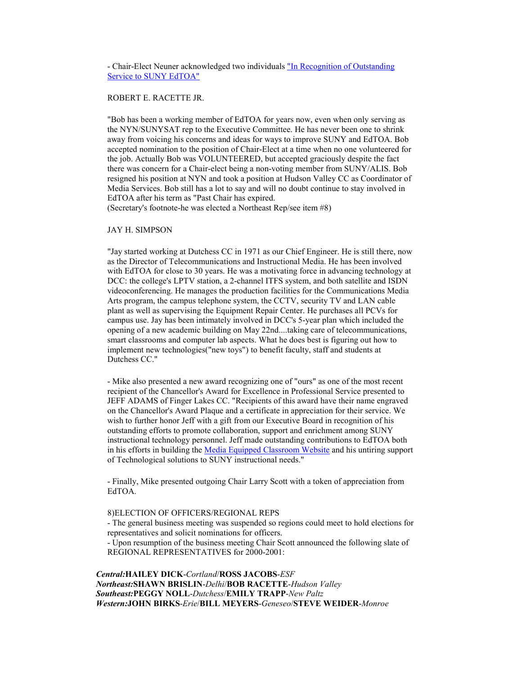- Chair-Elect Neuner acknowledged two individuals "In Recognition of Outstanding Service to SUNY EdTOA"

# ROBERT E. RACETTE JR.

"Bob has been a working member of EdTOA for years now, even when only serving as the NYN/SUNYSAT rep to the Executive Committee. He has never been one to shrink away from voicing his concerns and ideas for ways to improve SUNY and EdTOA. Bob accepted nomination to the position of Chair-Elect at a time when no one volunteered for the job. Actually Bob was VOLUNTEERED, but accepted graciously despite the fact there was concern for a Chair-elect being a non-voting member from SUNY/ALIS. Bob resigned his position at NYN and took a position at Hudson Valley CC as Coordinator of Media Services. Bob still has a lot to say and will no doubt continue to stay involved in EdTOA after his term as "Past Chair has expired.

(Secretary's footnote-he was elected a Northeast Rep/see item #8)

## JAY H. SIMPSON

"Jay started working at Dutchess CC in 1971 as our Chief Engineer. He is still there, now as the Director of Telecommunications and Instructional Media. He has been involved with EdTOA for close to 30 years. He was a motivating force in advancing technology at DCC: the college's LPTV station, a 2-channel ITFS system, and both satellite and ISDN videoconferencing. He manages the production facilities for the Communications Media Arts program, the campus telephone system, the CCTV, security TV and LAN cable plant as well as supervising the Equipment Repair Center. He purchases all PCVs for campus use. Jay has been intimately involved in DCC's 5-year plan which included the opening of a new academic building on May 22nd....taking care of telecommunications, smart classrooms and computer lab aspects. What he does best is figuring out how to implement new technologies("new toys") to benefit faculty, staff and students at Dutchess CC."

- Mike also presented a new award recognizing one of "ours" as one of the most recent recipient of the Chancellor's Award for Excellence in Professional Service presented to JEFF ADAMS of Finger Lakes CC. "Recipients of this award have their name engraved on the Chancellor's Award Plaque and a certificate in appreciation for their service. We wish to further honor Jeff with a gift from our Executive Board in recognition of his outstanding efforts to promote collaboration, support and enrichment among SUNY instructional technology personnel. Jeff made outstanding contributions to EdTOA both in his efforts in building the Media Equipped Classroom Website and his untiring support of Technological solutions to SUNY instructional needs."

- Finally, Mike presented outgoing Chair Larry Scott with a token of appreciation from EdTOA.

## 8)ELECTION OF OFFICERS/REGIONAL REPS

- The general business meeting was suspended so regions could meet to hold elections for representatives and solicit nominations for officers.

- Upon resumption of the business meeting Chair Scott announced the following slate of REGIONAL REPRESENTATIVES for 2000-2001:

 Central:HAILEY DICK-Cortland/ROSS JACOBS-ESF Northeast:SHAWN BRISLIN-Delhi/BOB RACETTE-Hudson Valley Southeast:PEGGY NOLL-Dutchess/EMILY TRAPP-New Paltz Western:JOHN BIRKS-Erie/BILL MEYERS-Geneseo/STEVE WEIDER-Monroe